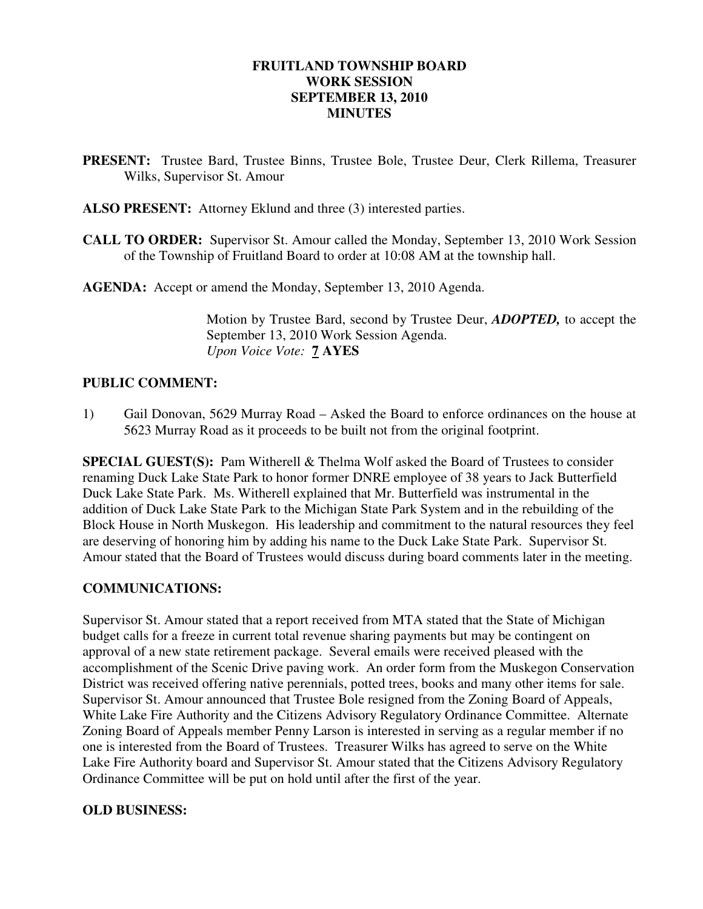# **FRUITLAND TOWNSHIP BOARD WORK SESSION SEPTEMBER 13, 2010 MINUTES**

- **PRESENT:** Trustee Bard, Trustee Binns, Trustee Bole, Trustee Deur, Clerk Rillema, Treasurer Wilks, Supervisor St. Amour
- **ALSO PRESENT:** Attorney Eklund and three (3) interested parties.
- **CALL TO ORDER:** Supervisor St. Amour called the Monday, September 13, 2010 Work Session of the Township of Fruitland Board to order at 10:08 AM at the township hall.

**AGENDA:** Accept or amend the Monday, September 13, 2010 Agenda.

Motion by Trustee Bard, second by Trustee Deur, *ADOPTED,* to accept the September 13, 2010 Work Session Agenda.  *Upon Voice Vote:* **7 AYES** 

# **PUBLIC COMMENT:**

1) Gail Donovan, 5629 Murray Road – Asked the Board to enforce ordinances on the house at 5623 Murray Road as it proceeds to be built not from the original footprint.

**SPECIAL GUEST(S):** Pam Witherell & Thelma Wolf asked the Board of Trustees to consider renaming Duck Lake State Park to honor former DNRE employee of 38 years to Jack Butterfield Duck Lake State Park. Ms. Witherell explained that Mr. Butterfield was instrumental in the addition of Duck Lake State Park to the Michigan State Park System and in the rebuilding of the Block House in North Muskegon. His leadership and commitment to the natural resources they feel are deserving of honoring him by adding his name to the Duck Lake State Park. Supervisor St. Amour stated that the Board of Trustees would discuss during board comments later in the meeting.

#### **COMMUNICATIONS:**

Supervisor St. Amour stated that a report received from MTA stated that the State of Michigan budget calls for a freeze in current total revenue sharing payments but may be contingent on approval of a new state retirement package. Several emails were received pleased with the accomplishment of the Scenic Drive paving work. An order form from the Muskegon Conservation District was received offering native perennials, potted trees, books and many other items for sale. Supervisor St. Amour announced that Trustee Bole resigned from the Zoning Board of Appeals, White Lake Fire Authority and the Citizens Advisory Regulatory Ordinance Committee. Alternate Zoning Board of Appeals member Penny Larson is interested in serving as a regular member if no one is interested from the Board of Trustees. Treasurer Wilks has agreed to serve on the White Lake Fire Authority board and Supervisor St. Amour stated that the Citizens Advisory Regulatory Ordinance Committee will be put on hold until after the first of the year.

#### **OLD BUSINESS:**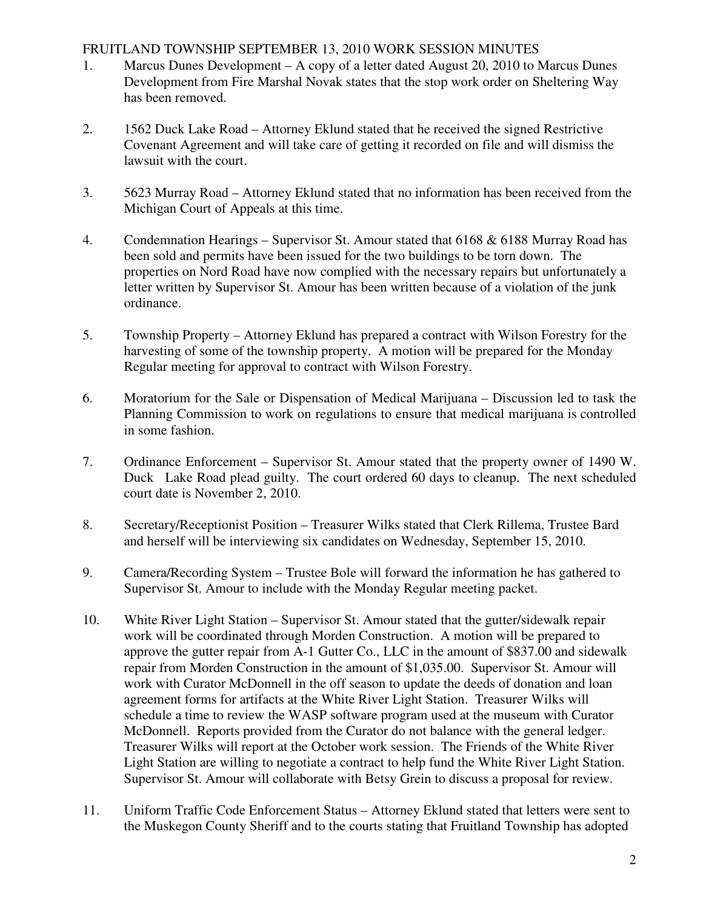# FRUITLAND TOWNSHIP SEPTEMBER 13, 2010 WORK SESSION MINUTES

- 1. Marcus Dunes Development A copy of a letter dated August 20, 2010 to Marcus Dunes Development from Fire Marshal Novak states that the stop work order on Sheltering Way has been removed.
- 2. 1562 Duck Lake Road Attorney Eklund stated that he received the signed Restrictive Covenant Agreement and will take care of getting it recorded on file and will dismiss the lawsuit with the court.
- 3. 5623 Murray Road Attorney Eklund stated that no information has been received from the Michigan Court of Appeals at this time.
- 4. Condemnation Hearings Supervisor St. Amour stated that 6168 & 6188 Murray Road has been sold and permits have been issued for the two buildings to be torn down. The properties on Nord Road have now complied with the necessary repairs but unfortunately a letter written by Supervisor St. Amour has been written because of a violation of the junk ordinance.
- 5. Township Property Attorney Eklund has prepared a contract with Wilson Forestry for the harvesting of some of the township property. A motion will be prepared for the Monday Regular meeting for approval to contract with Wilson Forestry.
- 6. Moratorium for the Sale or Dispensation of Medical Marijuana Discussion led to task the Planning Commission to work on regulations to ensure that medical marijuana is controlled in some fashion.
- 7. Ordinance Enforcement Supervisor St. Amour stated that the property owner of 1490 W. Duck Lake Road plead guilty. The court ordered 60 days to cleanup. The next scheduled court date is November 2, 2010.
- 8. Secretary/Receptionist Position Treasurer Wilks stated that Clerk Rillema, Trustee Bard and herself will be interviewing six candidates on Wednesday, September 15, 2010.
- 9. Camera/Recording System Trustee Bole will forward the information he has gathered to Supervisor St. Amour to include with the Monday Regular meeting packet.
- 10. White River Light Station Supervisor St. Amour stated that the gutter/sidewalk repair work will be coordinated through Morden Construction. A motion will be prepared to approve the gutter repair from A-1 Gutter Co., LLC in the amount of \$837.00 and sidewalk repair from Morden Construction in the amount of \$1,035.00. Supervisor St. Amour will work with Curator McDonnell in the off season to update the deeds of donation and loan agreement forms for artifacts at the White River Light Station. Treasurer Wilks will schedule a time to review the WASP software program used at the museum with Curator McDonnell. Reports provided from the Curator do not balance with the general ledger. Treasurer Wilks will report at the October work session. The Friends of the White River Light Station are willing to negotiate a contract to help fund the White River Light Station. Supervisor St. Amour will collaborate with Betsy Grein to discuss a proposal for review.
- 11. Uniform Traffic Code Enforcement Status Attorney Eklund stated that letters were sent to the Muskegon County Sheriff and to the courts stating that Fruitland Township has adopted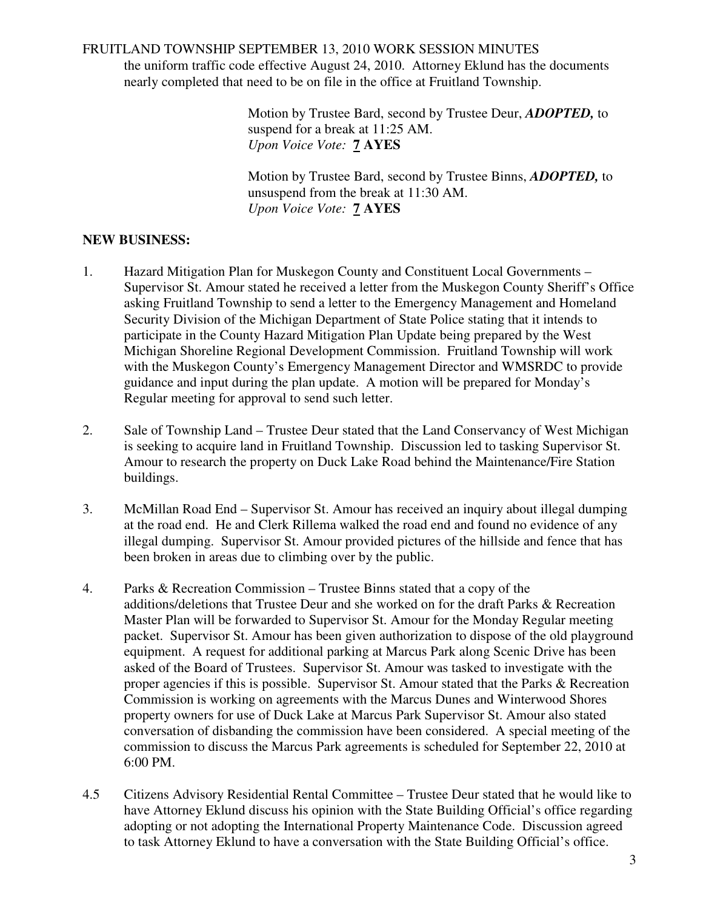### FRUITLAND TOWNSHIP SEPTEMBER 13, 2010 WORK SESSION MINUTES

the uniform traffic code effective August 24, 2010. Attorney Eklund has the documents nearly completed that need to be on file in the office at Fruitland Township.

> Motion by Trustee Bard, second by Trustee Deur, *ADOPTED,* to suspend for a break at 11:25 AM. *Upon Voice Vote:* **7 AYES**

Motion by Trustee Bard, second by Trustee Binns, *ADOPTED,* to unsuspend from the break at 11:30 AM. *Upon Voice Vote:* **7 AYES** 

# **NEW BUSINESS:**

- 1. Hazard Mitigation Plan for Muskegon County and Constituent Local Governments Supervisor St. Amour stated he received a letter from the Muskegon County Sheriff's Office asking Fruitland Township to send a letter to the Emergency Management and Homeland Security Division of the Michigan Department of State Police stating that it intends to participate in the County Hazard Mitigation Plan Update being prepared by the West Michigan Shoreline Regional Development Commission. Fruitland Township will work with the Muskegon County's Emergency Management Director and WMSRDC to provide guidance and input during the plan update. A motion will be prepared for Monday's Regular meeting for approval to send such letter.
- 2. Sale of Township Land Trustee Deur stated that the Land Conservancy of West Michigan is seeking to acquire land in Fruitland Township. Discussion led to tasking Supervisor St. Amour to research the property on Duck Lake Road behind the Maintenance/Fire Station buildings.
- 3. McMillan Road End Supervisor St. Amour has received an inquiry about illegal dumping at the road end. He and Clerk Rillema walked the road end and found no evidence of any illegal dumping. Supervisor St. Amour provided pictures of the hillside and fence that has been broken in areas due to climbing over by the public.
- 4. Parks & Recreation Commission Trustee Binns stated that a copy of the additions/deletions that Trustee Deur and she worked on for the draft Parks & Recreation Master Plan will be forwarded to Supervisor St. Amour for the Monday Regular meeting packet. Supervisor St. Amour has been given authorization to dispose of the old playground equipment. A request for additional parking at Marcus Park along Scenic Drive has been asked of the Board of Trustees. Supervisor St. Amour was tasked to investigate with the proper agencies if this is possible. Supervisor St. Amour stated that the Parks & Recreation Commission is working on agreements with the Marcus Dunes and Winterwood Shores property owners for use of Duck Lake at Marcus Park Supervisor St. Amour also stated conversation of disbanding the commission have been considered. A special meeting of the commission to discuss the Marcus Park agreements is scheduled for September 22, 2010 at 6:00 PM.
- 4.5 Citizens Advisory Residential Rental Committee Trustee Deur stated that he would like to have Attorney Eklund discuss his opinion with the State Building Official's office regarding adopting or not adopting the International Property Maintenance Code. Discussion agreed to task Attorney Eklund to have a conversation with the State Building Official's office.